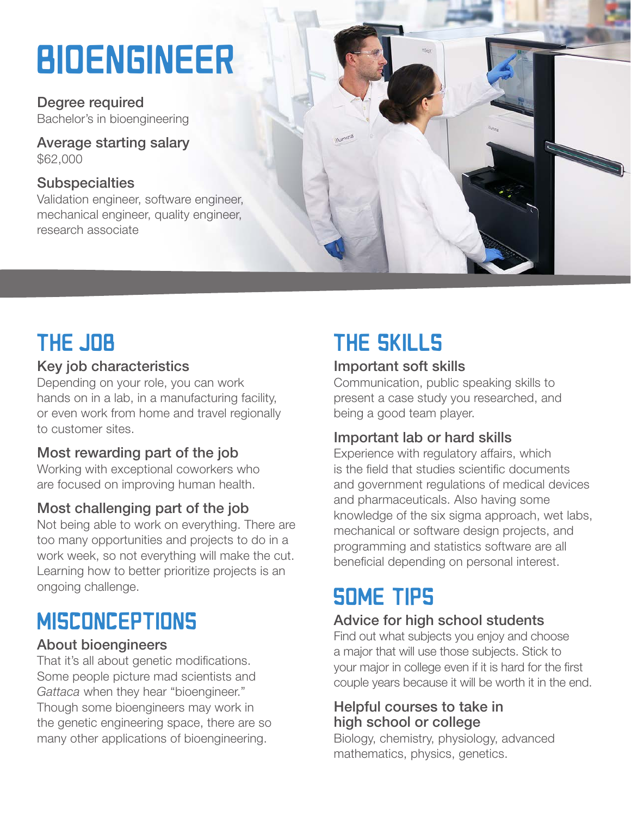# **BIOENGINEER**

Degree required Bachelor's in bioengineering

Average starting salary \$62,000

#### **Subspecialties**

Validation engineer, software engineer, mechanical engineer, quality engineer, research associate



### THE JOB

#### Key job characteristics

Depending on your role, you can work hands on in a lab, in a manufacturing facility, or even work from home and travel regionally to customer sites.

#### Most rewarding part of the job

Working with exceptional coworkers who are focused on improving human health.

### Most challenging part of the job

Not being able to work on everything. There are too many opportunities and projects to do in a work week, so not everything will make the cut. Learning how to better prioritize projects is an ongoing challenge.

### **MISCONCEPTIONS**

#### About bioengineers

That it's all about genetic modifications. Some people picture mad scientists and *Gattaca* when they hear "bioengineer." Though some bioengineers may work in the genetic engineering space, there are so many other applications of bioengineering.

### THE SKILLS

#### Important soft skills

Communication, public speaking skills to present a case study you researched, and being a good team player.

### Important lab or hard skills

Experience with regulatory affairs, which is the field that studies scientific documents and government regulations of medical devices and pharmaceuticals. Also having some knowledge of the six sigma approach, wet labs, mechanical or software design projects, and programming and statistics software are all beneficial depending on personal interest.

### **SOME TIPS**

### Advice for high school students

Find out what subjects you enjoy and choose a major that will use those subjects. Stick to your major in college even if it is hard for the first couple years because it will be worth it in the end.

#### Helpful courses to take in high school or college

Biology, chemistry, physiology, advanced mathematics, physics, genetics.